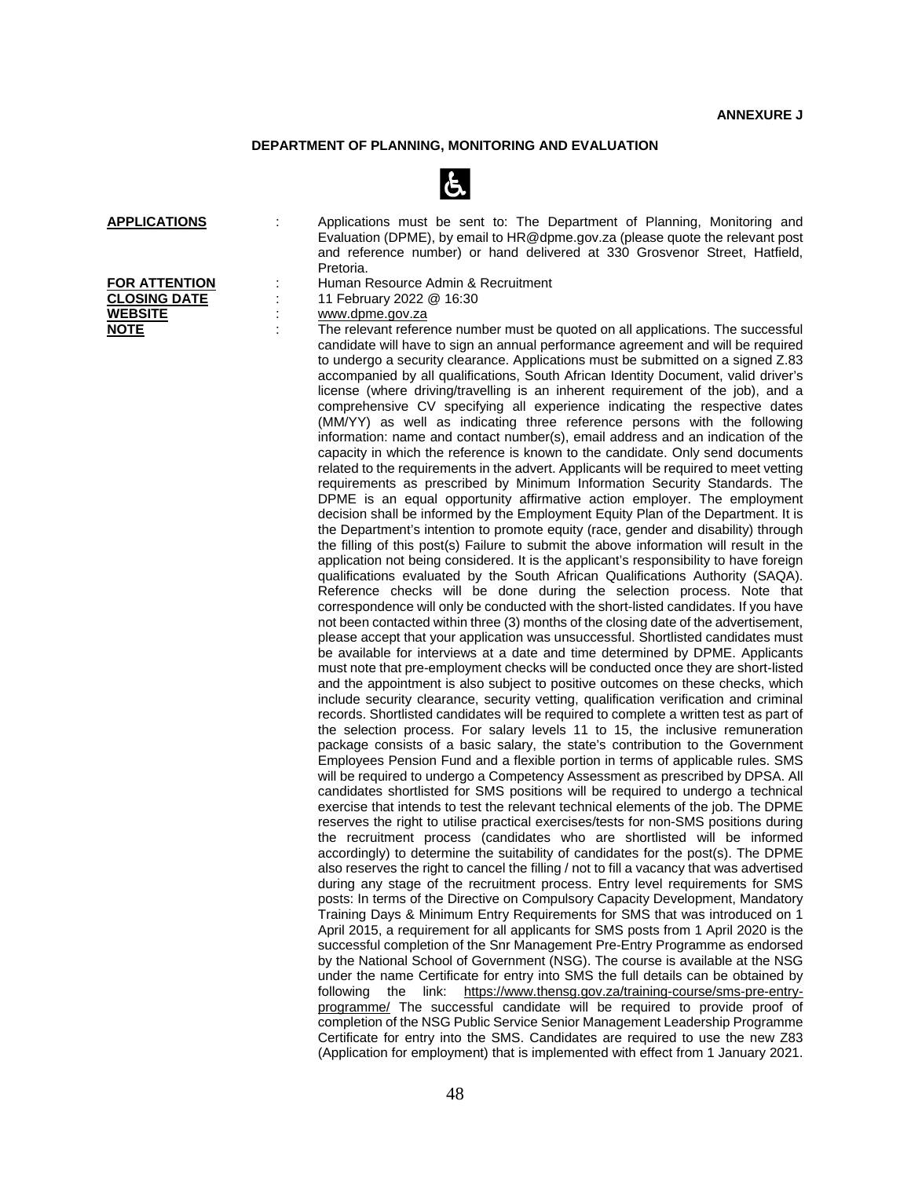## **DEPARTMENT OF PLANNING, MONITORING AND EVALUATION**



| <b>APPLICATIONS</b>  | Applications must be sent to: The Department of Planning, Monitoring and<br>Evaluation (DPME), by email to HR@dpme.gov.za (please quote the relevant post<br>and reference number) or hand delivered at 330 Grosvenor Street, Hatfield,                                                                                                                                                                                                                                                                                                                                                                                                                                                                                                                                                                                                                                                                                                                                                                                                                                                                                                                                                                                                                                                                                                                                                                                                                                                                                                                                                                                                                                                                                      |
|----------------------|------------------------------------------------------------------------------------------------------------------------------------------------------------------------------------------------------------------------------------------------------------------------------------------------------------------------------------------------------------------------------------------------------------------------------------------------------------------------------------------------------------------------------------------------------------------------------------------------------------------------------------------------------------------------------------------------------------------------------------------------------------------------------------------------------------------------------------------------------------------------------------------------------------------------------------------------------------------------------------------------------------------------------------------------------------------------------------------------------------------------------------------------------------------------------------------------------------------------------------------------------------------------------------------------------------------------------------------------------------------------------------------------------------------------------------------------------------------------------------------------------------------------------------------------------------------------------------------------------------------------------------------------------------------------------------------------------------------------------|
|                      | Pretoria.                                                                                                                                                                                                                                                                                                                                                                                                                                                                                                                                                                                                                                                                                                                                                                                                                                                                                                                                                                                                                                                                                                                                                                                                                                                                                                                                                                                                                                                                                                                                                                                                                                                                                                                    |
| <b>FOR ATTENTION</b> | Human Resource Admin & Recruitment                                                                                                                                                                                                                                                                                                                                                                                                                                                                                                                                                                                                                                                                                                                                                                                                                                                                                                                                                                                                                                                                                                                                                                                                                                                                                                                                                                                                                                                                                                                                                                                                                                                                                           |
| <b>CLOSING DATE</b>  | 11 February 2022 @ 16:30                                                                                                                                                                                                                                                                                                                                                                                                                                                                                                                                                                                                                                                                                                                                                                                                                                                                                                                                                                                                                                                                                                                                                                                                                                                                                                                                                                                                                                                                                                                                                                                                                                                                                                     |
| <b>WEBSITE</b>       | www.dpme.gov.za                                                                                                                                                                                                                                                                                                                                                                                                                                                                                                                                                                                                                                                                                                                                                                                                                                                                                                                                                                                                                                                                                                                                                                                                                                                                                                                                                                                                                                                                                                                                                                                                                                                                                                              |
| <b>NOTE</b>          | The relevant reference number must be quoted on all applications. The successful<br>candidate will have to sign an annual performance agreement and will be required<br>to undergo a security clearance. Applications must be submitted on a signed Z.83<br>accompanied by all qualifications, South African Identity Document, valid driver's<br>license (where driving/travelling is an inherent requirement of the job), and a<br>comprehensive CV specifying all experience indicating the respective dates<br>(MM/YY) as well as indicating three reference persons with the following<br>information: name and contact number(s), email address and an indication of the<br>capacity in which the reference is known to the candidate. Only send documents<br>related to the requirements in the advert. Applicants will be required to meet vetting<br>requirements as prescribed by Minimum Information Security Standards. The<br>DPME is an equal opportunity affirmative action employer. The employment<br>decision shall be informed by the Employment Equity Plan of the Department. It is<br>the Department's intention to promote equity (race, gender and disability) through<br>the filling of this post(s) Failure to submit the above information will result in the<br>application not being considered. It is the applicant's responsibility to have foreign<br>qualifications evaluated by the South African Qualifications Authority (SAQA).<br>Reference checks will be done during the selection process. Note that<br>correspondence will only be conducted with the short-listed candidates. If you have<br>not been contacted within three (3) months of the closing date of the advertisement, |
|                      | please accept that your application was unsuccessful. Shortlisted candidates must<br>be available for interviews at a date and time determined by DPME. Applicants<br>must note that pre-employment checks will be conducted once they are short-listed                                                                                                                                                                                                                                                                                                                                                                                                                                                                                                                                                                                                                                                                                                                                                                                                                                                                                                                                                                                                                                                                                                                                                                                                                                                                                                                                                                                                                                                                      |
|                      | and the appointment is also subject to positive outcomes on these checks, which<br>include security clearance, security vetting, qualification verification and criminal                                                                                                                                                                                                                                                                                                                                                                                                                                                                                                                                                                                                                                                                                                                                                                                                                                                                                                                                                                                                                                                                                                                                                                                                                                                                                                                                                                                                                                                                                                                                                     |
|                      | records. Shortlisted candidates will be required to complete a written test as part of                                                                                                                                                                                                                                                                                                                                                                                                                                                                                                                                                                                                                                                                                                                                                                                                                                                                                                                                                                                                                                                                                                                                                                                                                                                                                                                                                                                                                                                                                                                                                                                                                                       |
|                      | the selection process. For salary levels 11 to 15, the inclusive remuneration<br>package consists of a basic salary, the state's contribution to the Government<br>Employees Pension Fund and a flexible portion in terms of applicable rules. SMS                                                                                                                                                                                                                                                                                                                                                                                                                                                                                                                                                                                                                                                                                                                                                                                                                                                                                                                                                                                                                                                                                                                                                                                                                                                                                                                                                                                                                                                                           |
|                      | will be required to undergo a Competency Assessment as prescribed by DPSA. All                                                                                                                                                                                                                                                                                                                                                                                                                                                                                                                                                                                                                                                                                                                                                                                                                                                                                                                                                                                                                                                                                                                                                                                                                                                                                                                                                                                                                                                                                                                                                                                                                                               |
|                      | candidates shortlisted for SMS positions will be required to undergo a technical                                                                                                                                                                                                                                                                                                                                                                                                                                                                                                                                                                                                                                                                                                                                                                                                                                                                                                                                                                                                                                                                                                                                                                                                                                                                                                                                                                                                                                                                                                                                                                                                                                             |
|                      | exercise that intends to test the relevant technical elements of the job. The DPME<br>reserves the right to utilise practical exercises/tests for non-SMS positions during                                                                                                                                                                                                                                                                                                                                                                                                                                                                                                                                                                                                                                                                                                                                                                                                                                                                                                                                                                                                                                                                                                                                                                                                                                                                                                                                                                                                                                                                                                                                                   |
|                      | the recruitment process (candidates who are shortlisted will be informed                                                                                                                                                                                                                                                                                                                                                                                                                                                                                                                                                                                                                                                                                                                                                                                                                                                                                                                                                                                                                                                                                                                                                                                                                                                                                                                                                                                                                                                                                                                                                                                                                                                     |
|                      | accordingly) to determine the suitability of candidates for the post(s). The DPME                                                                                                                                                                                                                                                                                                                                                                                                                                                                                                                                                                                                                                                                                                                                                                                                                                                                                                                                                                                                                                                                                                                                                                                                                                                                                                                                                                                                                                                                                                                                                                                                                                            |
|                      | also reserves the right to cancel the filling / not to fill a vacancy that was advertised                                                                                                                                                                                                                                                                                                                                                                                                                                                                                                                                                                                                                                                                                                                                                                                                                                                                                                                                                                                                                                                                                                                                                                                                                                                                                                                                                                                                                                                                                                                                                                                                                                    |
|                      | during any stage of the recruitment process. Entry level requirements for SMS                                                                                                                                                                                                                                                                                                                                                                                                                                                                                                                                                                                                                                                                                                                                                                                                                                                                                                                                                                                                                                                                                                                                                                                                                                                                                                                                                                                                                                                                                                                                                                                                                                                |
|                      | posts: In terms of the Directive on Compulsory Capacity Development, Mandatory                                                                                                                                                                                                                                                                                                                                                                                                                                                                                                                                                                                                                                                                                                                                                                                                                                                                                                                                                                                                                                                                                                                                                                                                                                                                                                                                                                                                                                                                                                                                                                                                                                               |
|                      | Training Days & Minimum Entry Requirements for SMS that was introduced on 1                                                                                                                                                                                                                                                                                                                                                                                                                                                                                                                                                                                                                                                                                                                                                                                                                                                                                                                                                                                                                                                                                                                                                                                                                                                                                                                                                                                                                                                                                                                                                                                                                                                  |
|                      | April 2015, a requirement for all applicants for SMS posts from 1 April 2020 is the                                                                                                                                                                                                                                                                                                                                                                                                                                                                                                                                                                                                                                                                                                                                                                                                                                                                                                                                                                                                                                                                                                                                                                                                                                                                                                                                                                                                                                                                                                                                                                                                                                          |
|                      | successful completion of the Snr Management Pre-Entry Programme as endorsed<br>by the National School of Government (NSG). The course is available at the NSG                                                                                                                                                                                                                                                                                                                                                                                                                                                                                                                                                                                                                                                                                                                                                                                                                                                                                                                                                                                                                                                                                                                                                                                                                                                                                                                                                                                                                                                                                                                                                                |
|                      | under the name Certificate for entry into SMS the full details can be obtained by                                                                                                                                                                                                                                                                                                                                                                                                                                                                                                                                                                                                                                                                                                                                                                                                                                                                                                                                                                                                                                                                                                                                                                                                                                                                                                                                                                                                                                                                                                                                                                                                                                            |
|                      | following<br>link:<br>https://www.thensg.gov.za/training-course/sms-pre-entry-<br>the                                                                                                                                                                                                                                                                                                                                                                                                                                                                                                                                                                                                                                                                                                                                                                                                                                                                                                                                                                                                                                                                                                                                                                                                                                                                                                                                                                                                                                                                                                                                                                                                                                        |
|                      | programme/ The successful candidate will be required to provide proof of                                                                                                                                                                                                                                                                                                                                                                                                                                                                                                                                                                                                                                                                                                                                                                                                                                                                                                                                                                                                                                                                                                                                                                                                                                                                                                                                                                                                                                                                                                                                                                                                                                                     |
|                      | completion of the NSG Public Service Senior Management Leadership Programme                                                                                                                                                                                                                                                                                                                                                                                                                                                                                                                                                                                                                                                                                                                                                                                                                                                                                                                                                                                                                                                                                                                                                                                                                                                                                                                                                                                                                                                                                                                                                                                                                                                  |
|                      | Certificate for entry into the SMS. Candidates are required to use the new Z83                                                                                                                                                                                                                                                                                                                                                                                                                                                                                                                                                                                                                                                                                                                                                                                                                                                                                                                                                                                                                                                                                                                                                                                                                                                                                                                                                                                                                                                                                                                                                                                                                                               |
|                      | (Application for employment) that is implemented with effect from 1 January 2021.                                                                                                                                                                                                                                                                                                                                                                                                                                                                                                                                                                                                                                                                                                                                                                                                                                                                                                                                                                                                                                                                                                                                                                                                                                                                                                                                                                                                                                                                                                                                                                                                                                            |